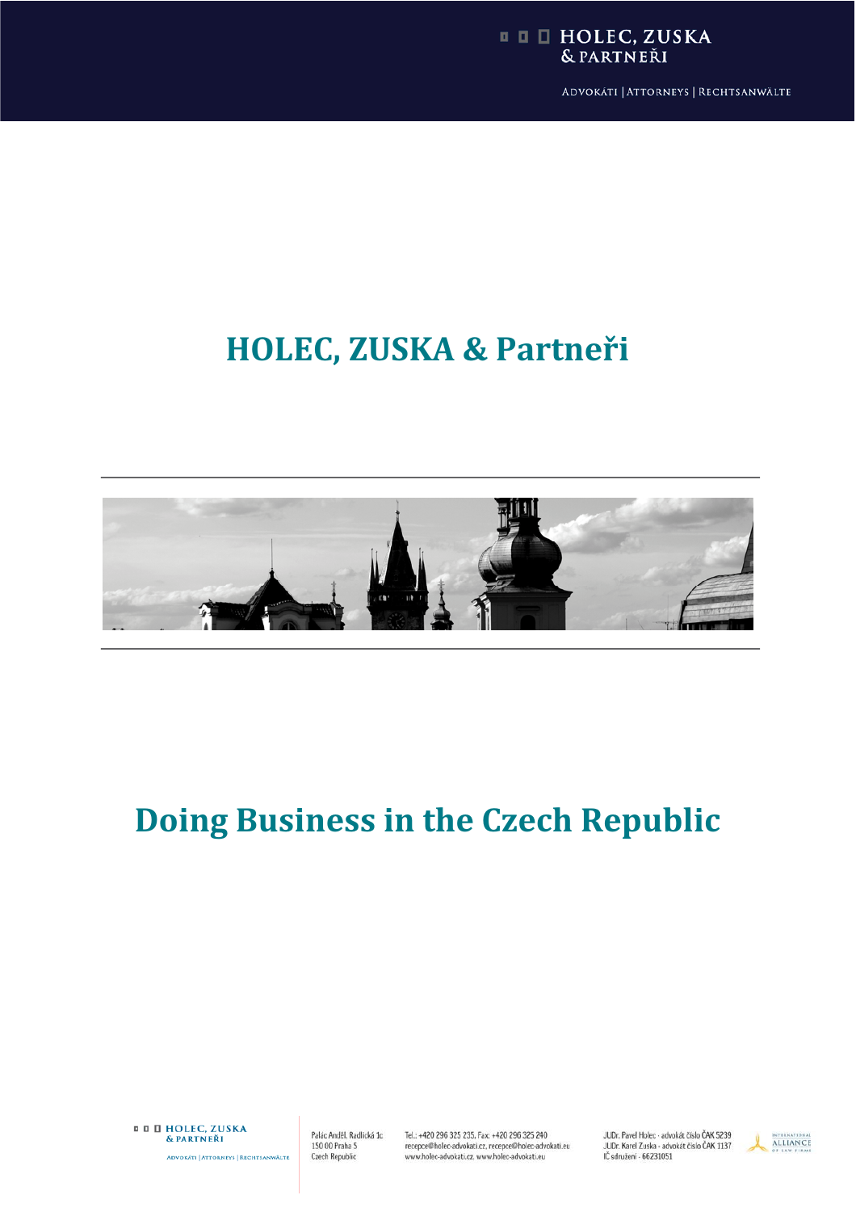### **II II HOLEC, ZUSKA** & PARTNEŘI

ADVOKÁTI | ATTORNEYS | RECHTSANWÄLTE

# **HOLEC, ZUSKA & Partneâi**



# **Doing Business in the Czech Republic**

**¤ D HOLEC, ZUSKA** & PARTNEŘI ADVOKÁTI | ATTORNEYS | RECHTSANWÄLTE

Palác Anděl, Radlická 1c 150 00 Praha 5 **Czech Republic** 

Tel.: +420 296 325 235, Fax: +420 296 325 240 recepce@holec-advokati.cz, recepce@holec-advokati.eu<br>www.holec-advokati.cz, www.holec-advokati.eu

JUDr. Pavel Holec - advokát číslo ČAK 5239 JUDr. Karel Zuska - advokát číslo ČAK 1137<br>JUDr. Karel Zuska - advokát číslo ČAK 1137

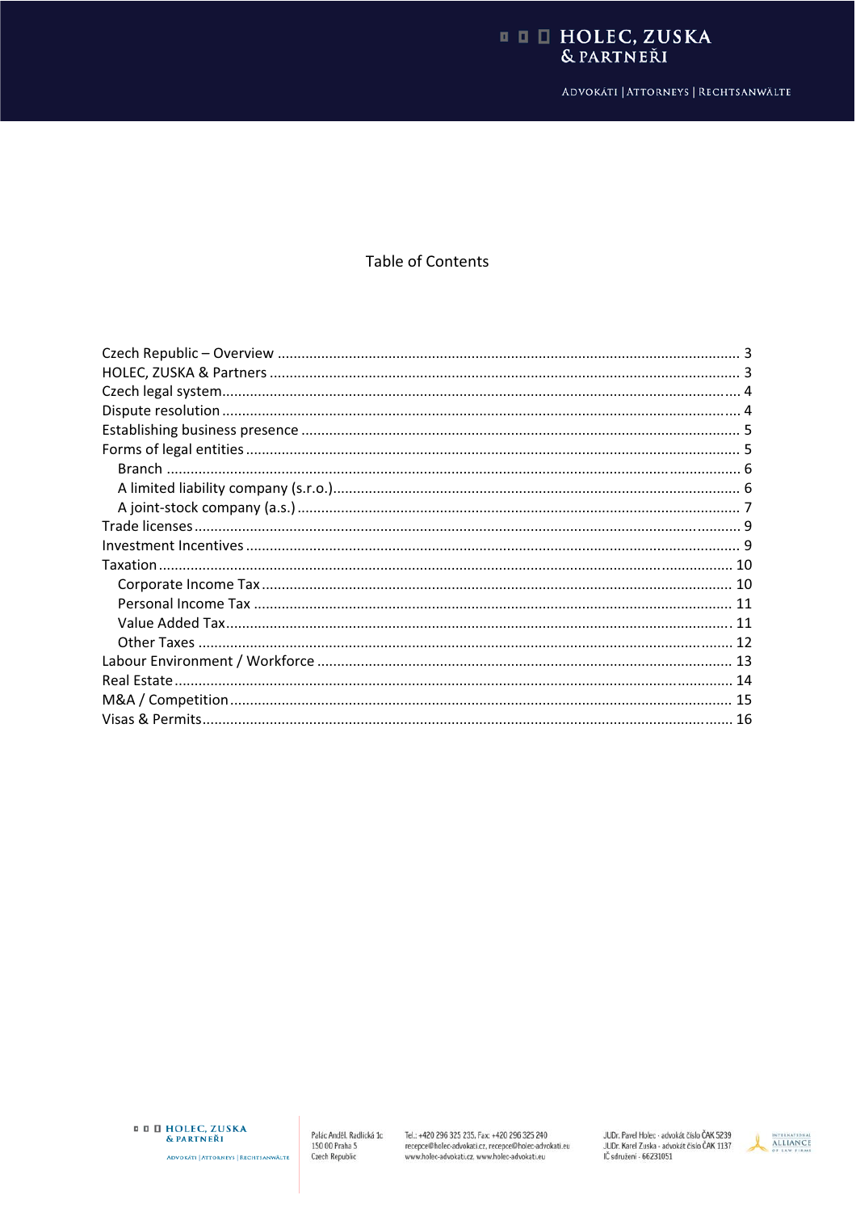# **II E HOLEC, ZUSKA**<br>
& PARTNEŘI

ADVOKÁTI | ATTORNEYS | RECHTSANWÄLTE

## **Table of Contents**

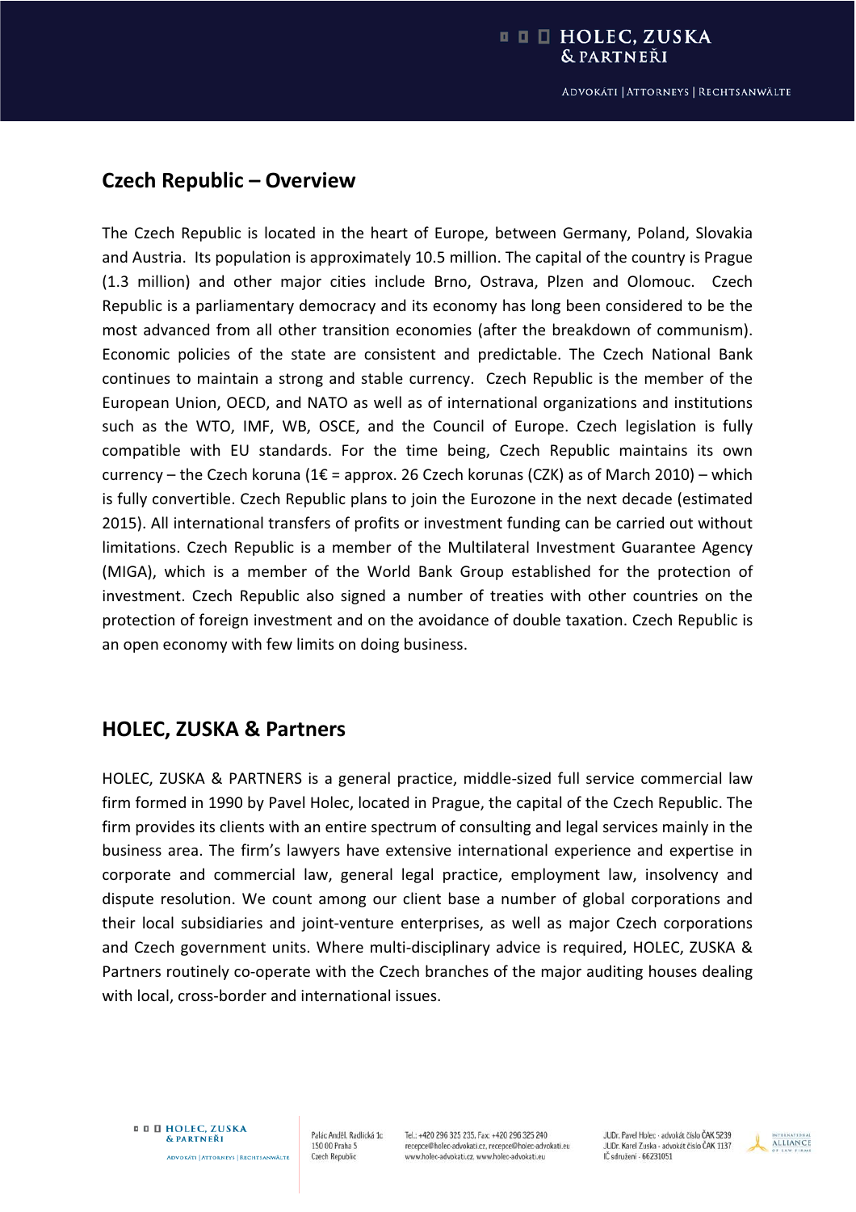# **Czech Republic – Overview**

The Czech Republic is located in the heart of Europe, between Germany, Poland, Slovakia and Austria. Its population is approximately 10.5 million. The capital of the country is Prague (1.3 million) and other major cities include Brno, Ostrava, Plzen and Olomouc. Czech Republic is a parliamentary democracy and its economy has long been considered to be the most advanced from all other transition economies (after the breakdown of communism). Economic policies of the state are consistent and predictable. The Czech National Bank continues to maintain a strong and stable currency. Czech Republic is the member of the European Union, OECD, and NATO as well as of international organizations and institutions such as the WTO, IMF, WB, OSCE, and the Council of Europe. Czech legislation is fully compatible with EU standards. For the time being, Czech Republic maintains its own currency – the Czech koruna (1 $\epsilon$  = approx. 26 Czech korunas (CZK) as of March 2010) – which is fully convertible. Czech Republic plans to join the Eurozone in the next decade (estimated 2015). All international transfers of profits or investment funding can be carried out without limitations. Czech Republic is a member of the Multilateral Investment Guarantee Agency (MIGA), which is a member of the World Bank Group established for the protection of investment. Czech Republic also signed a number of treaties with other countries on the protection of foreign investment and on the avoidance of double taxation. Czech Republic is an open economy with few limits on doing business.

## **HOLEC, ZUSKA & Partners**

HOLEC, ZUSKA & PARTNERS is a general practice, middle-sized full service commercial law firm formed in 1990 by Pavel Holec, located in Prague, the capital of the Czech Republic. The firm provides its clients with an entire spectrum of consulting and legal services mainly in the business area. The firm's lawyers have extensive international experience and expertise in corporate and commercial law, general legal practice, employment law, insolvency and dispute resolution. We count among our client base a number of global corporations and their local subsidiaries and joint-venture enterprises, as well as major Czech corporations and Czech government units. Where multi-disciplinary advice is required, HOLEC, ZUSKA & Partners routinely co-operate with the Czech branches of the major auditing houses dealing with local, cross-border and international issues.

Palác Anděl, Radlická 1c 150 00 Praha 5 **Czech Republic** 

Tel.: +420 296 325 235, Fax: +420 296 325 240 recepce@holec-advokati.cz, recepce@holec-advokati.eu www.holec-advokati.cz, www.holec-advokati.eu

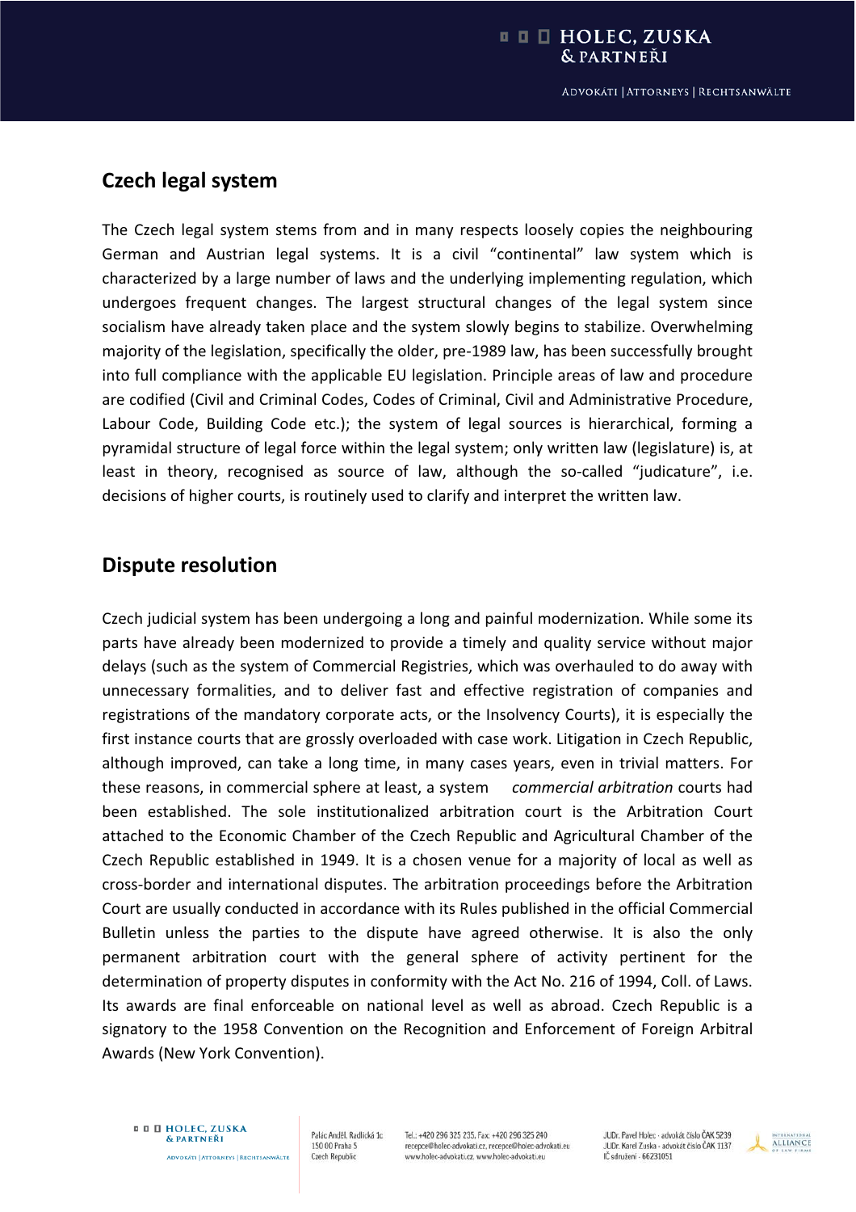## **Czech legal system**

The Czech legal system stems from and in many respects loosely copies the neighbouring German and Austrian legal systems. It is a civil "continental" law system which is characterized by a large number of laws and the underlying implementing regulation, which undergoes frequent changes. The largest structural changes of the legal system since socialism have already taken place and the system slowly begins to stabilize. Overwhelming majority of the legislation, specifically the older, pre-1989 law, has been successfully brought into full compliance with the applicable EU legislation. Principle areas of law and procedure are codified (Civil and Criminal Codes, Codes of Criminal, Civil and Administrative Procedure, Labour Code, Building Code etc.); the system of legal sources is hierarchical, forming a pyramidal structure of legal force within the legal system; only written law (legislature) is, at least in theory, recognised as source of law, although the so-called "judicature", i.e. decisions of higher courts, is routinely used to clarify and interpret the written law.

## **Dispute resolution**

Czech judicial system has been undergoing a long and painful modernization. While some its parts have already been modernized to provide a timely and quality service without major delays (such as the system of Commercial Registries, which was overhauled to do away with unnecessary formalities, and to deliver fast and effective registration of companies and registrations of the mandatory corporate acts, or the Insolvency Courts), it is especially the first instance courts that are grossly overloaded with case work. Litigation in Czech Republic, although improved, can take a long time, in many cases years, even in trivial matters. For these reasons, in commercial sphere at least, a system*commercial arbitration* courts had been established. The sole institutionalized arbitration court is the Arbitration Court attached to the Economic Chamber of the Czech Republic and Agricultural Chamber of the Czech Republic established in 1949. It is a chosen venue for a majority of local as well as cross-border and international disputes. The arbitration proceedings before the Arbitration Court are usually conducted in accordance with its Rules published in the official Commercial Bulletin unless the parties to the dispute have agreed otherwise. It is also the only permanent arbitration court with the general sphere of activity pertinent for the determination of property disputes in conformity with the Act No. 216 of 1994, Coll. of Laws. Its awards are final enforceable on national level as well as abroad. Czech Republic is a signatory to the 1958 Convention on the Recognition and Enforcement of Foreign Arbitral Awards (New York Convention).

**¤ D HOLEC, ZUSKA** & PARTNEŘI **ADVOKÁTI | ATTORNEYS | RECHTSANWÄLTE** 

Palác Anděl, Radlická 1c 150 00 Praha 5 **Czech Republic** 

Tel.: +420 296 325 235, Fax: +420 296 325 240 recepce@holec-advokati.cz, recepce@holec-advokati.eu www.holec-advokati.cz, www.holec-advokati.eu

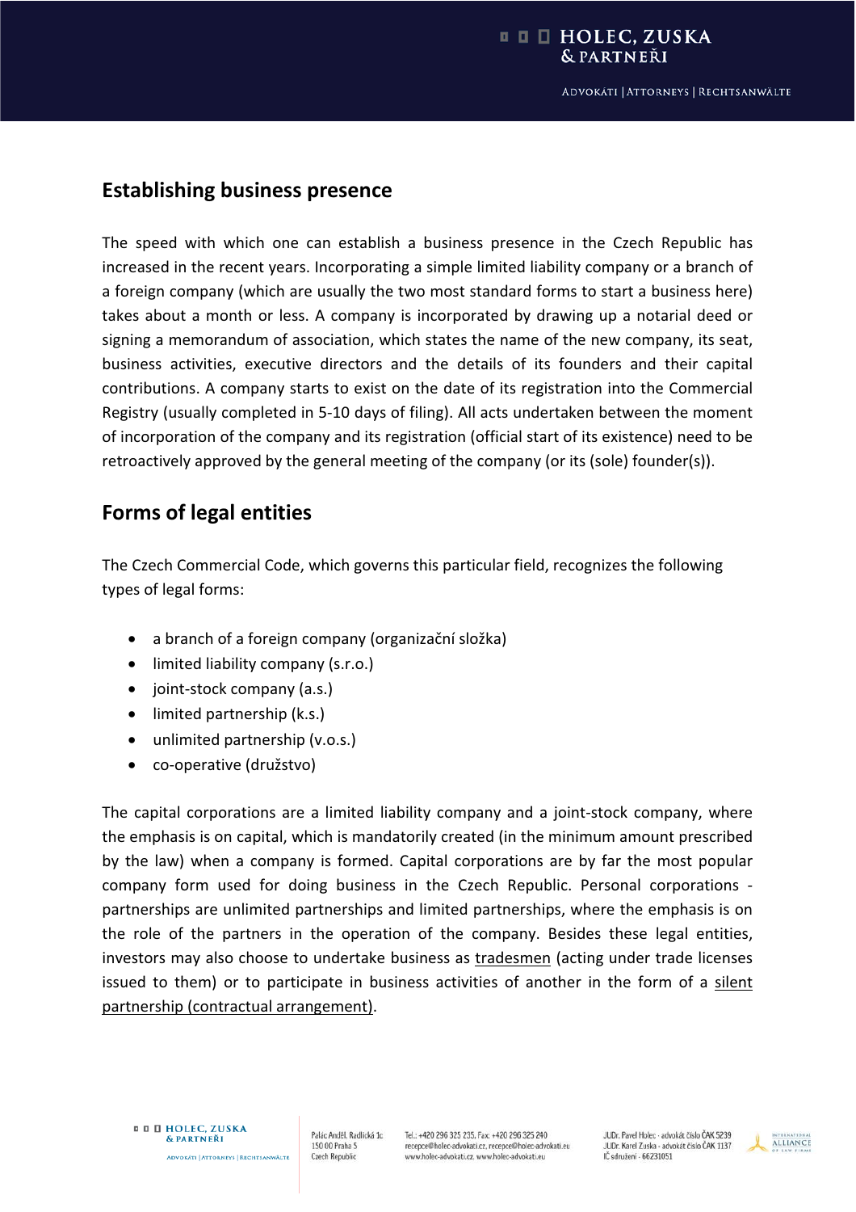## **Establishing business presence**

The speed with which one can establish a business presence in the Czech Republic has increased in the recent years. Incorporating a simple limited liability company or a branch of a foreign company (which are usually the two most standard forms to start a business here) takes about a month or less. A company is incorporated by drawing up a notarial deed or signing a memorandum of association, which states the name of the new company, its seat, business activities, executive directors and the details of its founders and their capital contributions. A company starts to exist on the date of its registration into the Commercial Registry (usually completed in 5-10 days of filing). All acts undertaken between the moment of incorporation of the company and its registration (official start of its existence) need to be retroactively approved by the general meeting of the company (or its (sole) founder(s)).

# **Forms of legal entities**

The Czech Commercial Code, which governs this particular field, recognizes the following types of legal forms:

- a branch of a foreign company (organizační složka)
- limited liability company (s.r.o.)
- joint-stock company (a.s.)
- $\bullet$  limited partnership (k.s.)
- unlimited partnership (v.o.s.)
- co-operative (družstvo)

The capital corporations are a limited liability company and a joint-stock company, where the emphasis is on capital, which is mandatorily created (in the minimum amount prescribed by the law) when a company is formed. Capital corporations are by far the most popular company form used for doing business in the Czech Republic. Personal corporations partnerships are unlimited partnerships and limited partnerships, where the emphasis is on the role of the partners in the operation of the company. Besides these legal entities, investors may also choose to undertake business as tradesmen (acting under trade licenses issued to them) or to participate in business activities of another in the form of a silent partnership (contractual arrangement).

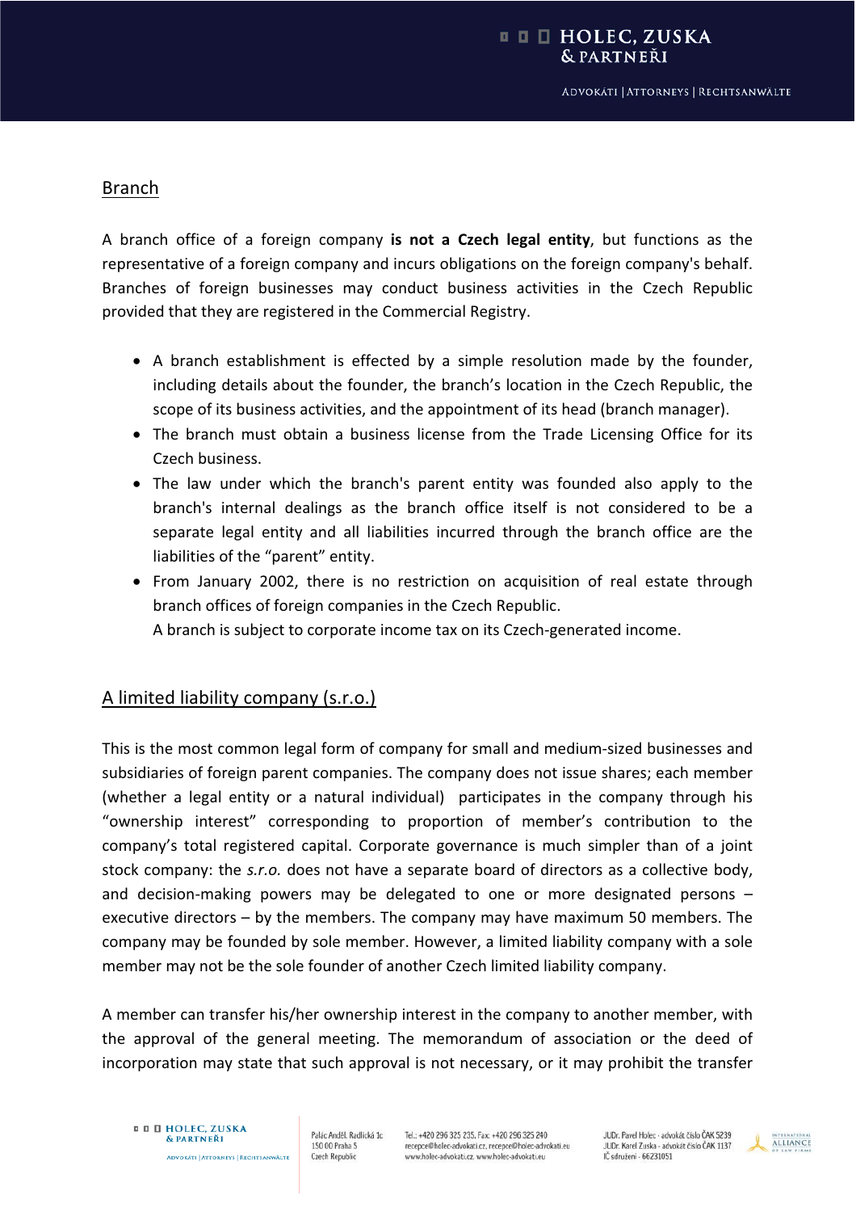## Branch

A branch office of a foreign company **is not a Czech legal entity**, but functions as the representative of a foreign company and incurs obligations on the foreign company's behalf. Branches of foreign businesses may conduct business activities in the Czech Republic provided that they are registered in the Commercial Registry.

- A branch establishment is effected by a simple resolution made by the founder, including details about the founder, the branch's location in the Czech Republic, the scope of its business activities, and the appointment of its head (branch manager).
- The branch must obtain a business license from the Trade Licensing Office for its Czech business.
- The law under which the branch's parent entity was founded also apply to the branch's internal dealings as the branch office itself is not considered to be a separate legal entity and all liabilities incurred through the branch office are the liabilities of the "parent" entity.
- From January 2002, there is no restriction on acquisition of real estate through branch offices of foreign companies in the Czech Republic.

A branch is subject to corporate income tax on its Czech-generated income.

## A limited liability company (s.r.o.)

This is the most common legal form of company for small and medium-sized businesses and subsidiaries of foreign parent companies. The company does not issue shares; each member (whether a legal entity or a natural individual) participates in the company through his "ownership interest" corresponding to proportion of member's contribution to the company's total registered capital. Corporate governance is much simpler than of a joint stock company: the *s.r.o.* does not have a separate board of directors as a collective body, and decision-making powers may be delegated to one or more designated persons – executive directors – by the members. The company may have maximum 50 members. The company may be founded by sole member. However, a limited liability company with a sole member may not be the sole founder of another Czech limited liability company.

A member can transfer his/her ownership interest in the company to another member, with the approval of the general meeting. The memorandum of association or the deed of incorporation may state that such approval is not necessary, or it may prohibit the transfer

Palác Anděl, Radlická 1c 150 00 Praha 5 **Czech Republic** 

Tel.: +420 296 325 235, Fax: +420 296 325 240 recepce@holec-advokati.cz, recepce@holec-advokati.eu www.holec-advokati.cz, www.holec-advokati.eu

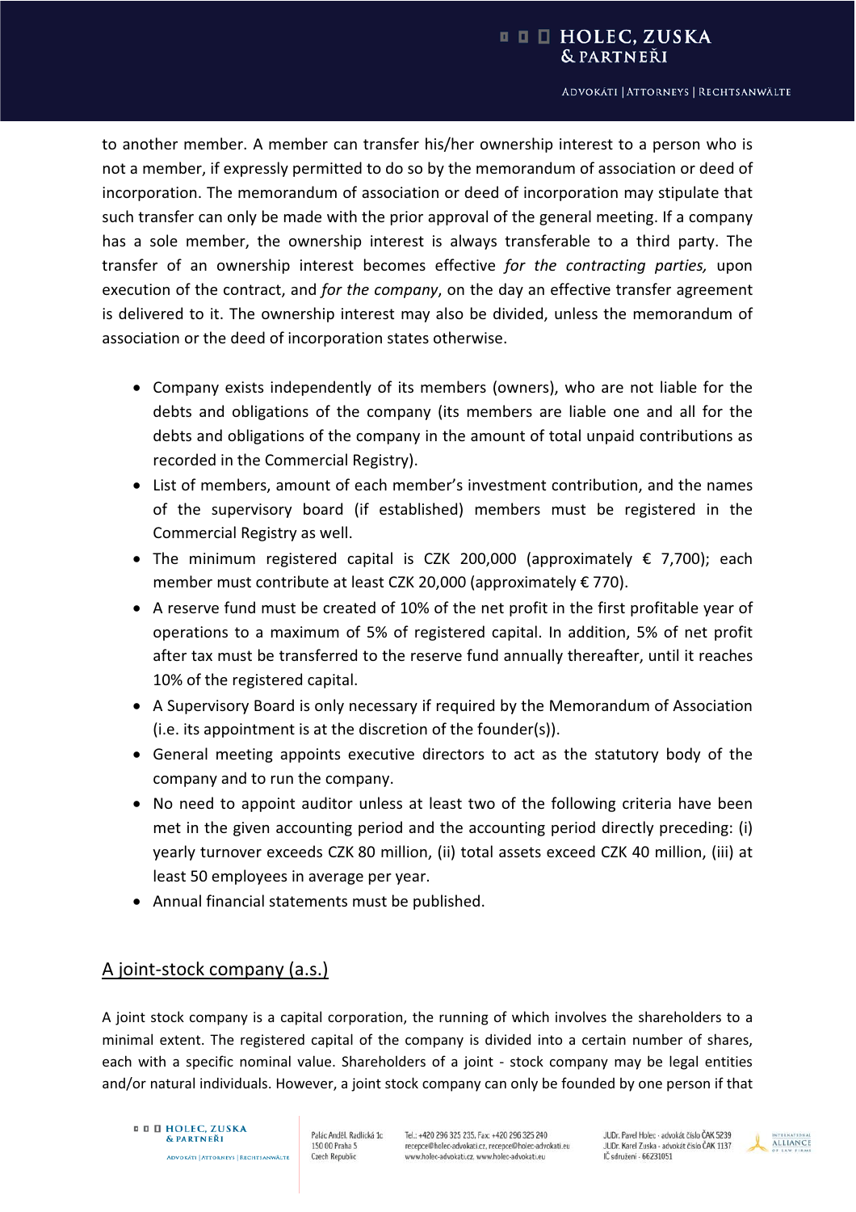#### ADVOKÁTI | ATTORNEYS | RECHTSANWÄLTE

to another member. A member can transfer his/her ownership interest to a person who is not a member, if expressly permitted to do so by the memorandum of association or deed of incorporation. The memorandum of association or deed of incorporation may stipulate that such transfer can only be made with the prior approval of the general meeting. If a company has a sole member, the ownership interest is always transferable to a third party. The transfer of an ownership interest becomes effective *for the contracting parties,* upon execution of the contract, and *for the company*, on the day an effective transfer agreement is delivered to it. The ownership interest may also be divided, unless the memorandum of association or the deed of incorporation states otherwise.

- Company exists independently of its members (owners), who are not liable for the debts and obligations of the company (its members are liable one and all for the debts and obligations of the company in the amount of total unpaid contributions as recorded in the Commercial Registry).
- List of members, amount of each member's investment contribution, and the names of the supervisory board (if established) members must be registered in the Commercial Registry as well.
- The minimum registered capital is CZK 200,000 (approximately  $\epsilon$  7,700); each member must contribute at least CZK 20,000 (approximately € 770).
- A reserve fund must be created of 10% of the net profit in the first profitable year of operations to a maximum of 5% of registered capital. In addition, 5% of net profit after tax must be transferred to the reserve fund annually thereafter, until it reaches 10% of the registered capital.
- A Supervisory Board is only necessary if required by the Memorandum of Association (i.e. its appointment is at the discretion of the founder(s)).
- General meeting appoints executive directors to act as the statutory body of the company and to run the company.
- No need to appoint auditor unless at least two of the following criteria have been met in the given accounting period and the accounting period directly preceding: (i) yearly turnover exceeds CZK 80 million, (ii) total assets exceed CZK 40 million, (iii) at least 50 employees in average per year.
- Annual financial statements must be published.

### A joint-stock company (a.s.)

A joint stock company is a capital corporation, the running of which involves the shareholders to a minimal extent. The registered capital of the company is divided into a certain number of shares, each with a specific nominal value. Shareholders of a joint - stock company may be legal entities and/or natural individuals. However, a joint stock company can only be founded by one person if that

#### **¤ 0 D HOLEC, ZUSKA** & PARTNEŘI

**ADVOKÁTI | ATTORNEYS | RECHTSANWÄLTE** 

Palác Anděl, Radlická 1c 150 00 Praha 5 **Czech Republic** 

Tel.: +420 296 325 235, Fax: +420 296 325 240 recepce@holec-advokati.cz, recepce@holec-advokati.eu www.holec-advokati.cz, www.holec-advokati.eu

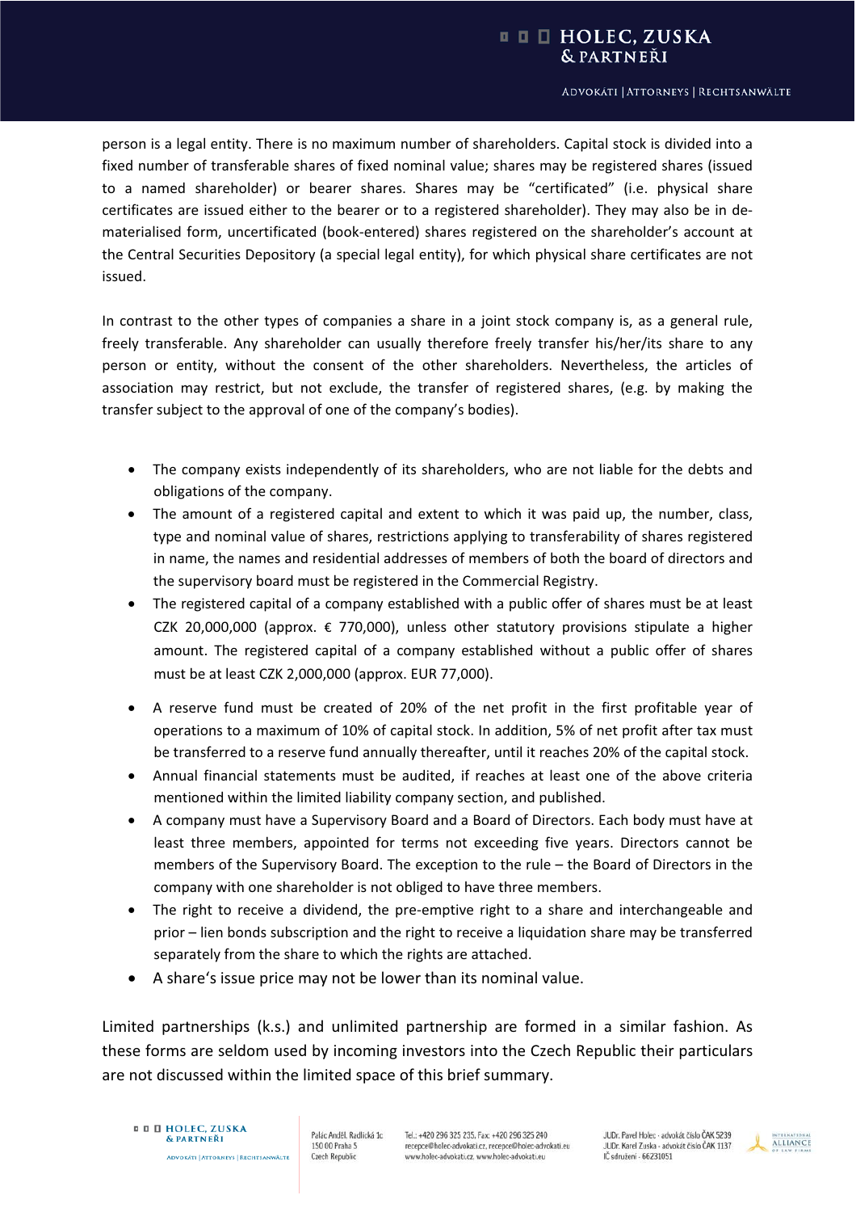person is a legal entity. There is no maximum number of shareholders. Capital stock is divided into a fixed number of transferable shares of fixed nominal value; shares may be registered shares (issued to a named shareholder) or bearer shares. Shares may be "certificated" (i.e. physical share certificates are issued either to the bearer or to a registered shareholder). They may also be in dematerialised form, uncertificated (book-entered) shares registered on the shareholder's account at the Central Securities Depository (a special legal entity), for which physical share certificates are not issued.

In contrast to the other types of companies a share in a joint stock company is, as a general rule, freely transferable. Any shareholder can usually therefore freely transfer his/her/its share to any person or entity, without the consent of the other shareholders. Nevertheless, the articles of association may restrict, but not exclude, the transfer of registered shares, (e.g. by making the transfer subject to the approval of one of the company's bodies).

- The company exists independently of its shareholders, who are not liable for the debts and obligations of the company.
- $\bullet$  The amount of a registered capital and extent to which it was paid up, the number, class, type and nominal value of shares, restrictions applying to transferability of shares registered in name, the names and residential addresses of members of both the board of directors and the supervisory board must be registered in the Commercial Registry.
- The registered capital of a company established with a public offer of shares must be at least CZK 20,000,000 (approx. € 770,000), unless other statutory provisions stipulate a higher amount. The registered capital of a company established without a public offer of shares must be at least CZK 2,000,000 (approx. EUR 77,000).
- A reserve fund must be created of 20% of the net profit in the first profitable year of operations to a maximum of 10% of capital stock. In addition, 5% of net profit after tax must be transferred to a reserve fund annually thereafter, until it reaches 20% of the capital stock.
- x Annual financial statements must be audited, if reaches at least one of the above criteria mentioned within the limited liability company section, and published.
- A company must have a Supervisory Board and a Board of Directors. Each body must have at least three members, appointed for terms not exceeding five years. Directors cannot be members of the Supervisory Board. The exception to the rule – the Board of Directors in the company with one shareholder is not obliged to have three members.
- The right to receive a dividend, the pre-emptive right to a share and interchangeable and prior – lien bonds subscription and the right to receive a liquidation share may be transferred separately from the share to which the rights are attached.
- A share's issue price may not be lower than its nominal value.

Limited partnerships (k.s.) and unlimited partnership are formed in a similar fashion. As these forms are seldom used by incoming investors into the Czech Republic their particulars are not discussed within the limited space of this brief summary.

#### **¤ 0 D HOLEC, ZUSKA** & PARTNEŘI

Palác Anděl, Radlická 1c 150 00 Praha 5 **ADVOKÁTI | ATTORNEYS | RECHTSANWÄLTE Czech Republic** 

Tel.: +420 296 325 235, Fax: +420 296 325 240 recepce@holec-advokati.cz, recepce@holec-advokati.eu www.holec-advokati.cz, www.holec-advokati.eu

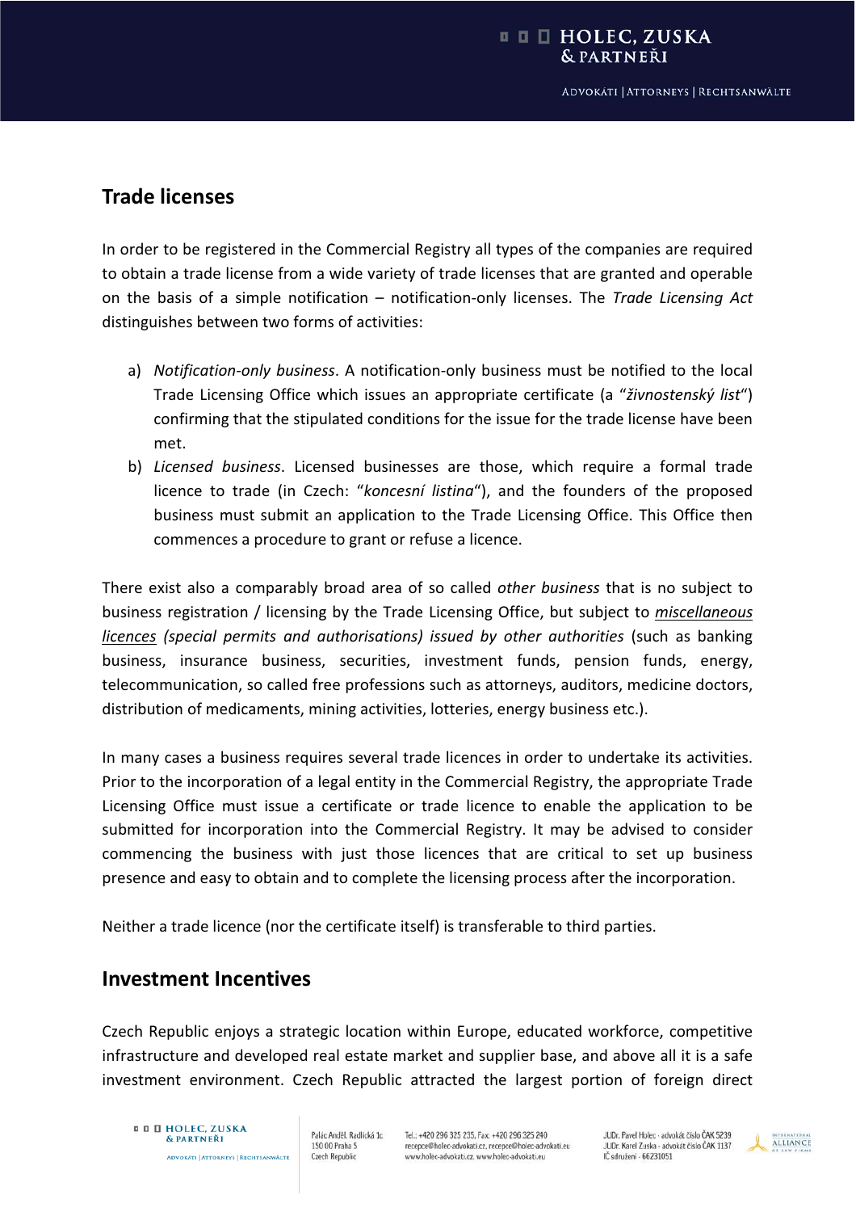## **Trade licenses**

In order to be registered in the Commercial Registry all types of the companies are required to obtain a trade license from a wide variety of trade licenses that are granted and operable on the basis of a simple notification – notificationͲonly licenses. The *Trade Licensing Act* distinguishes between two forms of activities:

- a) *NotificationͲonly business*. A notificationͲonly business must be notified to the local Trade Licensing Office which issues an appropriate certificate (a "*živnostenský list*") confirming that the stipulated conditions for the issue for the trade license have been met.
- b) *Licensed business*. Licensed businesses are those, which require a formal trade licence to trade (in Czech: "*koncesní listina*"), and the founders of the proposed business must submit an application to the Trade Licensing Office. This Office then commences a procedure to grant or refuse a licence.

There exist also a comparably broad area of so called *other business* that is no subject to business registration / licensing by the Trade Licensing Office, but subject to *miscellaneous licences (special permits and authorisations) issued by other authorities* (such as banking business, insurance business, securities, investment funds, pension funds, energy, telecommunication, so called free professions such as attorneys, auditors, medicine doctors, distribution of medicaments, mining activities, lotteries, energy business etc.).

In many cases a business requires several trade licences in order to undertake its activities. Prior to the incorporation of a legal entity in the Commercial Registry, the appropriate Trade Licensing Office must issue a certificate or trade licence to enable the application to be submitted for incorporation into the Commercial Registry. It may be advised to consider commencing the business with just those licences that are critical to set up business presence and easy to obtain and to complete the licensing process after the incorporation.

Neither a trade licence (nor the certificate itself) is transferable to third parties.

## **Investment Incentives**

Czech Republic enjoys a strategic location within Europe, educated workforce, competitive infrastructure and developed real estate market and supplier base, and above all it is a safe investment environment. Czech Republic attracted the largest portion of foreign direct

#### **¤ D HOLEC, ZUSKA** & PARTNEŘI **ADVOKÁTI | ATTORNEYS | RECHTSANWÄLTE**

Palác Anděl, Radlická 1c 150 00 Praha 5 **Czech Republic** 

Tel.: +420 296 325 235, Fax: +420 296 325 240 recepce@holec-advokati.cz. recepce@holec-advokati.eu www.holec-advokati.cz, www.holec-advokati.eu

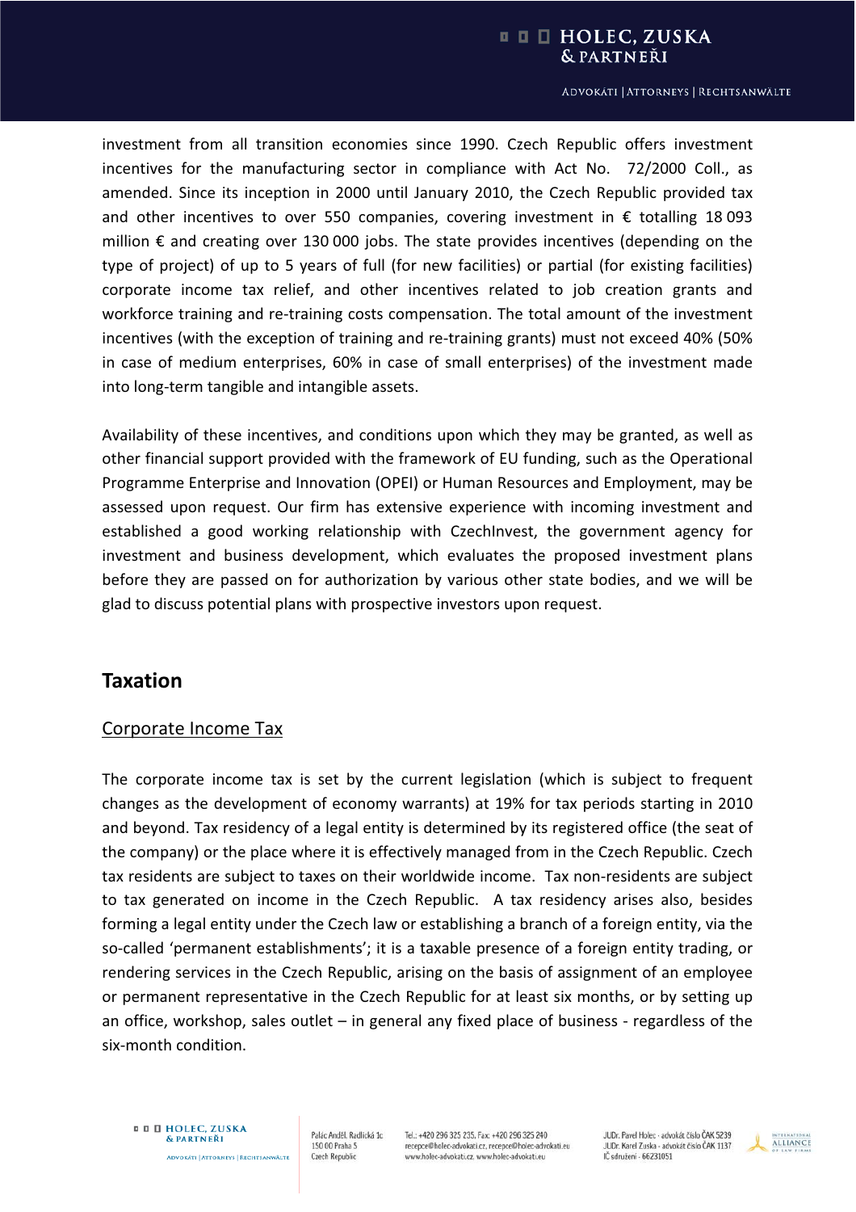#### **□ □ □ HOLEC, ZUSKA** & PARTNEŘI

#### ADVOKÁTI | ATTORNEYS | RECHTSANWÄLTE

investment from all transition economies since 1990. Czech Republic offers investment incentives for the manufacturing sector in compliance with Act No. 72/2000 Coll., as amended. Since its inception in 2000 until January 2010, the Czech Republic provided tax and other incentives to over 550 companies, covering investment in  $\epsilon$  totalling 18093 million  $€$  and creating over 130 000 jobs. The state provides incentives (depending on the type of project) of up to 5 years of full (for new facilities) or partial (for existing facilities) corporate income tax relief, and other incentives related to job creation grants and workforce training and re-training costs compensation. The total amount of the investment incentives (with the exception of training and re-training grants) must not exceed 40% (50% in case of medium enterprises, 60% in case of small enterprises) of the investment made into long-term tangible and intangible assets.

Availability of these incentives, and conditions upon which they may be granted, as well as other financial support provided with the framework of EU funding, such as the Operational Programme Enterprise and Innovation (OPEI) or Human Resources and Employment, may be assessed upon request. Our firm has extensive experience with incoming investment and established a good working relationship with CzechInvest, the government agency for investment and business development, which evaluates the proposed investment plans before they are passed on for authorization by various other state bodies, and we will be glad to discuss potential plans with prospective investors upon request.

## **Taxation**

### Corporate Income Tax

The corporate income tax is set by the current legislation (which is subject to frequent changes as the development of economy warrants) at 19% for tax periods starting in 2010 and beyond. Tax residency of a legal entity is determined by its registered office (the seat of the company) or the place where it is effectively managed from in the Czech Republic. Czech tax residents are subject to taxes on their worldwide income. Tax non-residents are subject to tax generated on income in the Czech Republic. A tax residency arises also, besides forming a legal entity under the Czech law or establishing a branch of a foreign entity, via the so-called 'permanent establishments'; it is a taxable presence of a foreign entity trading, or rendering services in the Czech Republic, arising on the basis of assignment of an employee or permanent representative in the Czech Republic for at least six months, or by setting up an office, workshop, sales outlet – in general any fixed place of business - regardless of the six-month condition.

**¤ D HOLEC, ZUSKA** & PARTNEŘI **ADVOKÁTI | ATTORNEYS | RECHTSANWÄLTE** 

Palác Anděl, Radlická 1c 150 00 Praha 5 **Czech Republic** 

Tel.: +420 296 325 235, Fax: +420 296 325 240 recepce@holec-advokati.cz, recepce@holec-advokati.eu www.holec-advokati.cz, www.holec-advokati.eu

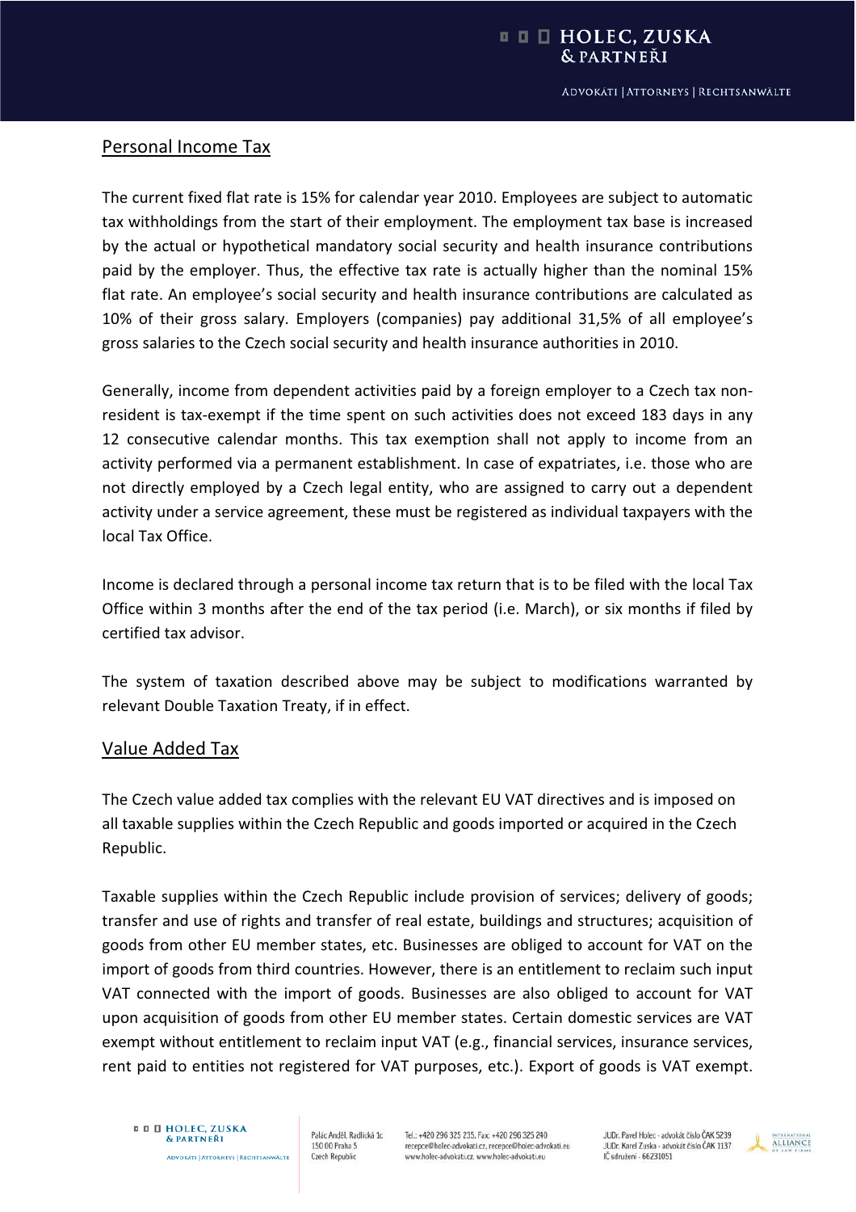## Personal Income Tax

The current fixed flat rate is 15% for calendar year 2010. Employees are subject to automatic tax withholdings from the start of their employment. The employment tax base is increased by the actual or hypothetical mandatory social security and health insurance contributions paid by the employer. Thus, the effective tax rate is actually higher than the nominal 15% flat rate. An employee's social security and health insurance contributions are calculated as 10% of their gross salary. Employers (companies) pay additional 31,5% of all employee's gross salaries to the Czech social security and health insurance authorities in 2010.

Generally, income from dependent activities paid by a foreign employer to a Czech tax nonresident is tax-exempt if the time spent on such activities does not exceed 183 days in any 12 consecutive calendar months. This tax exemption shall not apply to income from an activity performed via a permanent establishment. In case of expatriates, i.e. those who are not directly employed by a Czech legal entity, who are assigned to carry out a dependent activity under a service agreement, these must be registered as individual taxpayers with the local Tax Office.

Income is declared through a personal income tax return that is to be filed with the local Tax Office within 3 months after the end of the tax period (i.e. March), or six months if filed by certified tax advisor.

The system of taxation described above may be subject to modifications warranted by relevant Double Taxation Treaty, if in effect.

### Value Added Tax

The Czech value added tax complies with the relevant EU VAT directives and is imposed on all taxable supplies within the Czech Republic and goods imported or acquired in the Czech Republic.

Taxable supplies within the Czech Republic include provision of services; delivery of goods; transfer and use of rights and transfer of real estate, buildings and structures; acquisition of goods from other EU member states, etc. Businesses are obliged to account for VAT on the import of goods from third countries. However, there is an entitlement to reclaim such input VAT connected with the import of goods. Businesses are also obliged to account for VAT upon acquisition of goods from other EU member states. Certain domestic services are VAT exempt without entitlement to reclaim input VAT (e.g., financial services, insurance services, rent paid to entities not registered for VAT purposes, etc.). Export of goods is VAT exempt.

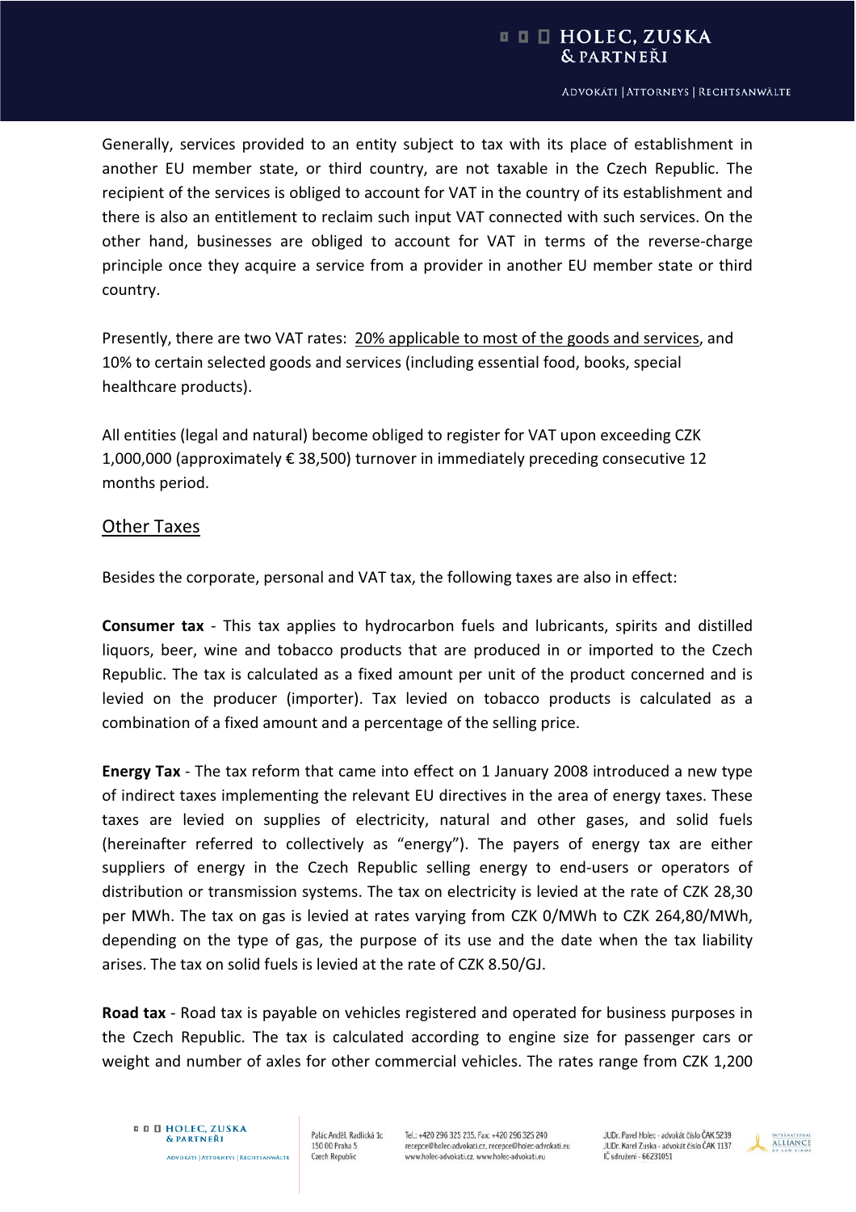#### **□ □ □ HOLEC, ZUSKA** & PARTNEŘI

#### ADVOKÁTI | ATTORNEYS | RECHTSANWÄLTE

Generally, services provided to an entity subject to tax with its place of establishment in another EU member state, or third country, are not taxable in the Czech Republic. The recipient of the services is obliged to account for VAT in the country of its establishment and there is also an entitlement to reclaim such input VAT connected with such services. On the other hand, businesses are obliged to account for VAT in terms of the reverse-charge principle once they acquire a service from a provider in another EU member state or third country.

Presently, there are two VAT rates: 20% applicable to most of the goods and services, and 10% to certain selected goods and services (including essential food, books, special healthcare products).

All entities (legal and natural) become obliged to register for VAT upon exceeding CZK 1,000,000 (approximately € 38,500) turnover in immediately preceding consecutive 12 months period.

### Other Taxes

Besides the corporate, personal and VAT tax, the following taxes are also in effect:

**Consumer tax** - This tax applies to hydrocarbon fuels and lubricants, spirits and distilled liquors, beer, wine and tobacco products that are produced in or imported to the Czech Republic. The tax is calculated as a fixed amount per unit of the product concerned and is levied on the producer (importer). Tax levied on tobacco products is calculated as a combination of a fixed amount and a percentage of the selling price.

**Energy Tax** - The tax reform that came into effect on 1 January 2008 introduced a new type of indirect taxes implementing the relevant EU directives in the area of energy taxes. These taxes are levied on supplies of electricity, natural and other gases, and solid fuels (hereinafter referred to collectively as "energy"). The payers of energy tax are either suppliers of energy in the Czech Republic selling energy to end-users or operators of distribution or transmission systems. The tax on electricity is levied at the rate of CZK 28,30 per MWh. The tax on gas is levied at rates varying from CZK 0/MWh to CZK 264,80/MWh, depending on the type of gas, the purpose of its use and the date when the tax liability arises. The tax on solid fuels is levied at the rate of CZK 8.50/GJ.

**Road tax** - Road tax is payable on vehicles registered and operated for business purposes in the Czech Republic. The tax is calculated according to engine size for passenger cars or weight and number of axles for other commercial vehicles. The rates range from CZK 1,200

Palác Anděl, Radlická 1c 150 00 Praha 5 **Czech Republic** 

Tel.: +420 296 325 235, Fax: +420 296 325 240 recepce@holec-advokati.cz, recepce@holec-advokati.eu www.holec-advokati.cz, www.holec-advokati.eu

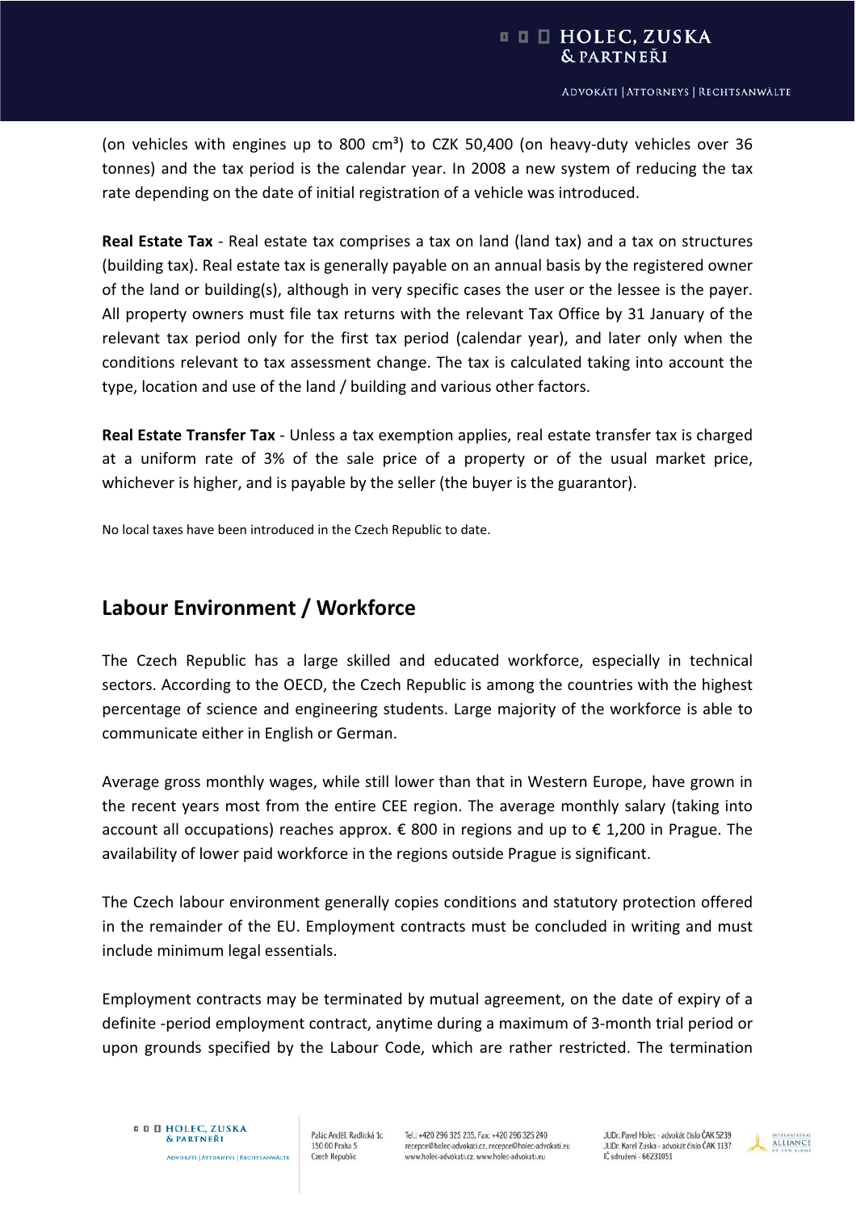(on vehicles with engines up to 800 cm<sup>3</sup>) to CZK 50,400 (on heavy-duty vehicles over 36 tonnes) and the tax period is the calendar year. In 2008 a new system of reducing the tax rate depending on the date of initial registration of a vehicle was introduced.

**Real Estate Tax** - Real estate tax comprises a tax on land (land tax) and a tax on structures (building tax). Real estate tax is generally payable on an annual basis by the registered owner of the land or building(s), although in very specific cases the user or the lessee is the payer. All property owners must file tax returns with the relevant Tax Office by 31 January of the relevant tax period only for the first tax period (calendar year), and later only when the conditions relevant to tax assessment change. The tax is calculated taking into account the type, location and use of the land / building and various other factors.

**Real Estate Transfer Tax** - Unless a tax exemption applies, real estate transfer tax is charged at a uniform rate of 3% of the sale price of a property or of the usual market price, whichever is higher, and is payable by the seller (the buyer is the guarantor).

No local taxes have been introduced in the Czech Republic to date.

## **Labour Environment / Workforce**

The Czech Republic has a large skilled and educated workforce, especially in technical sectors. According to the OECD, the Czech Republic is among the countries with the highest percentage of science and engineering students. Large majority of the workforce is able to communicate either in English or German.

Average gross monthly wages, while still lower than that in Western Europe, have grown in the recent years most from the entire CEE region. The average monthly salary (taking into account all occupations) reaches approx.  $\epsilon$  800 in regions and up to  $\epsilon$  1,200 in Prague. The availability of lower paid workforce in the regions outside Prague is significant.

The Czech labour environment generally copies conditions and statutory protection offered in the remainder of the EU. Employment contracts must be concluded in writing and must include minimum legal essentials.

Employment contracts may be terminated by mutual agreement, on the date of expiry of a definite -period employment contract, anytime during a maximum of 3-month trial period or upon grounds specified by the Labour Code, which are rather restricted. The termination

Palác Anděl, Radlická 1c 150 00 Praha 5 **Czech Republic** 

Tel.: +420 296 325 235, Fax: +420 296 325 240 recepce@holec-advokati.cz, recepce@holec-advokati.eu www.holec-advokati.cz, www.holec-advokati.eu

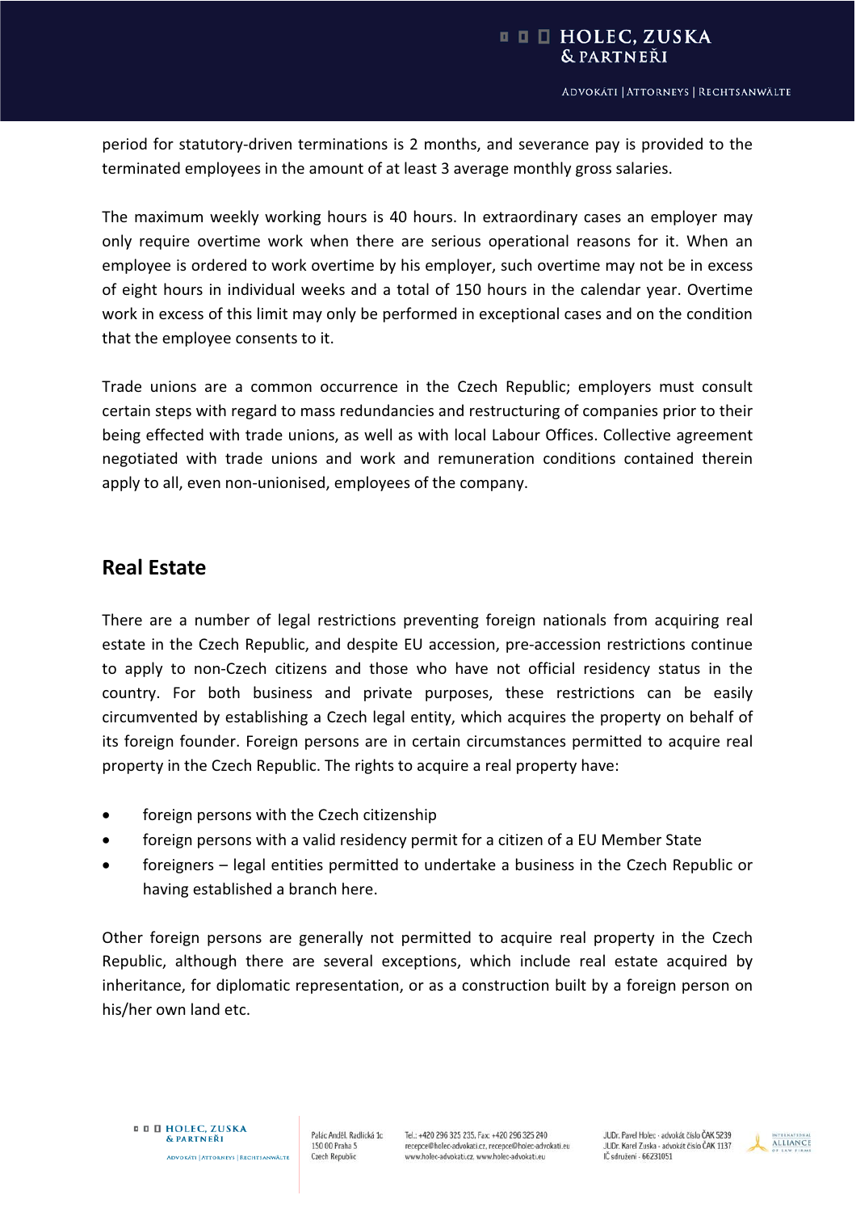period for statutory-driven terminations is 2 months, and severance pay is provided to the terminated employees in the amount of at least 3 average monthly gross salaries.

The maximum weekly working hours is 40 hours. In extraordinary cases an employer may only require overtime work when there are serious operational reasons for it. When an employee is ordered to work overtime by his employer, such overtime may not be in excess of eight hours in individual weeks and a total of 150 hours in the calendar year. Overtime work in excess of this limit may only be performed in exceptional cases and on the condition that the employee consents to it.

Trade unions are a common occurrence in the Czech Republic; employers must consult certain steps with regard to mass redundancies and restructuring of companies prior to their being effected with trade unions, as well as with local Labour Offices. Collective agreement negotiated with trade unions and work and remuneration conditions contained therein apply to all, even non-unionised, employees of the company.

## **Real Estate**

There are a number of legal restrictions preventing foreign nationals from acquiring real estate in the Czech Republic, and despite EU accession, pre-accession restrictions continue to apply to non-Czech citizens and those who have not official residency status in the country. For both business and private purposes, these restrictions can be easily circumvented by establishing a Czech legal entity, which acquires the property on behalf of its foreign founder. Foreign persons are in certain circumstances permitted to acquire real property in the Czech Republic. The rights to acquire a real property have:

- foreign persons with the Czech citizenship
- foreign persons with a valid residency permit for a citizen of a EU Member State
- foreigners legal entities permitted to undertake a business in the Czech Republic or having established a branch here.

Other foreign persons are generally not permitted to acquire real property in the Czech Republic, although there are several exceptions, which include real estate acquired by inheritance, for diplomatic representation, or as a construction built by a foreign person on his/her own land etc.

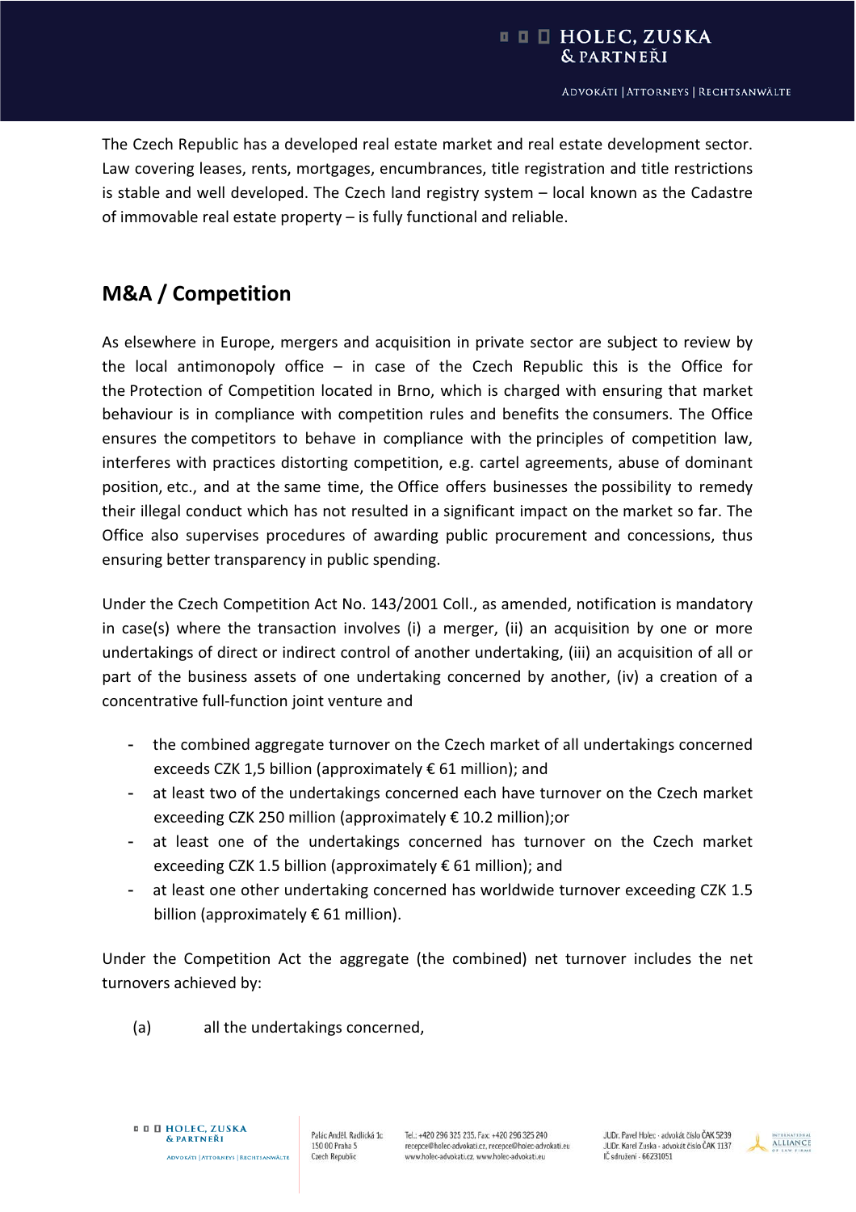The Czech Republic has a developed real estate market and real estate development sector. Law covering leases, rents, mortgages, encumbrances, title registration and title restrictions is stable and well developed. The Czech land registry system – local known as the Cadastre of immovable real estate property – is fully functional and reliable.

# **M&A / Competition**

As elsewhere in Europe, mergers and acquisition in private sector are subject to review by the local antimonopoly office  $-$  in case of the Czech Republic this is the Office for the Protection of Competition located in Brno, which is charged with ensuring that market behaviour is in compliance with competition rules and benefits the consumers. The Office ensures the competitors to behave in compliance with the principles of competition law, interferes with practices distorting competition, e.g. cartel agreements, abuse of dominant position, etc., and at the same time, the Office offers businesses the possibility to remedy their illegal conduct which has not resulted in a significant impact on the market so far. The Office also supervises procedures of awarding public procurement and concessions, thus ensuring better transparency in public spending.

Under the Czech Competition Act No. 143/2001 Coll., as amended, notification is mandatory in case(s) where the transaction involves (i) a merger, (ii) an acquisition by one or more undertakings of direct or indirect control of another undertaking, (iii) an acquisition of all or part of the business assets of one undertaking concerned by another, (iv) a creation of a concentrative full-function joint venture and

- the combined aggregate turnover on the Czech market of all undertakings concerned exceeds CZK 1,5 billion (approximately € 61 million); and
- at least two of the undertakings concerned each have turnover on the Czech market exceeding CZK 250 million (approximately € 10.2 million);or
- at least one of the undertakings concerned has turnover on the Czech market exceeding CZK 1.5 billion (approximately € 61 million); and
- at least one other undertaking concerned has worldwide turnover exceeding CZK 1.5 billion (approximately  $\epsilon$  61 million).

Under the Competition Act the aggregate (the combined) net turnover includes the net turnovers achieved by:

(a) all the undertakings concerned,

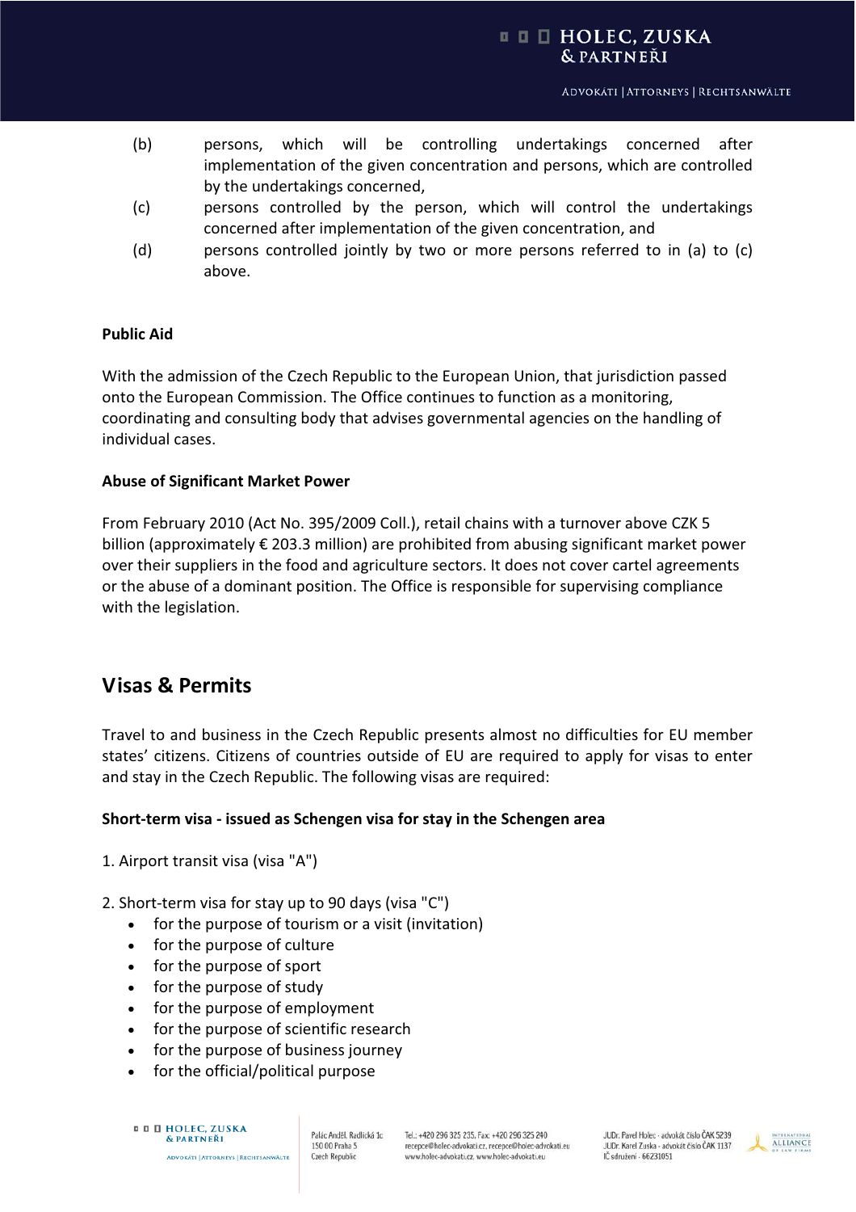- (b) persons, which will be controlling undertakings concerned after implementation of the given concentration and persons, which are controlled by the undertakings concerned,
- (c) persons controlled by the person, which will control the undertakings concerned after implementation of the given concentration, and
- (d) persons controlled jointly by two or more persons referred to in (a) to (c) above.

#### **Public Aid**

With the admission of the Czech Republic to the European Union, that jurisdiction passed onto the European Commission. The Office continues to function as a monitoring, coordinating and consulting body that advises governmental agencies on the handling of individual cases.

#### **Abuse of Significant Market Power**

From February 2010 (Act No. 395/2009 Coll.), retail chains with a turnover above CZK 5 billion (approximately € 203.3 million) are prohibited from abusing significant market power over their suppliers in the food and agriculture sectors. It does not cover cartel agreements or the abuse of a dominant position. The Office is responsible for supervising compliance with the legislation.

## **Visas & Permits**

Travel to and business in the Czech Republic presents almost no difficulties for EU member states' citizens. Citizens of countries outside of EU are required to apply for visas to enter and stay in the Czech Republic. The following visas are required:

### **ShortͲterm visaͲissued as Schengen visa for stay in the Schengen area**

- 1. Airport transit visa (visa "A")
- 2. Short-term visa for stay up to 90 days (visa "C")
	- $\bullet$  for the purpose of tourism or a visit (invitation)
	- for the purpose of culture
	- for the purpose of sport
	- for the purpose of study
	- for the purpose of employment
	- for the purpose of scientific research
	- for the purpose of business journey
	- for the official/political purpose

**ADVOKÁTI | ATTORNEYS | RECHTSANWÄLTE** 

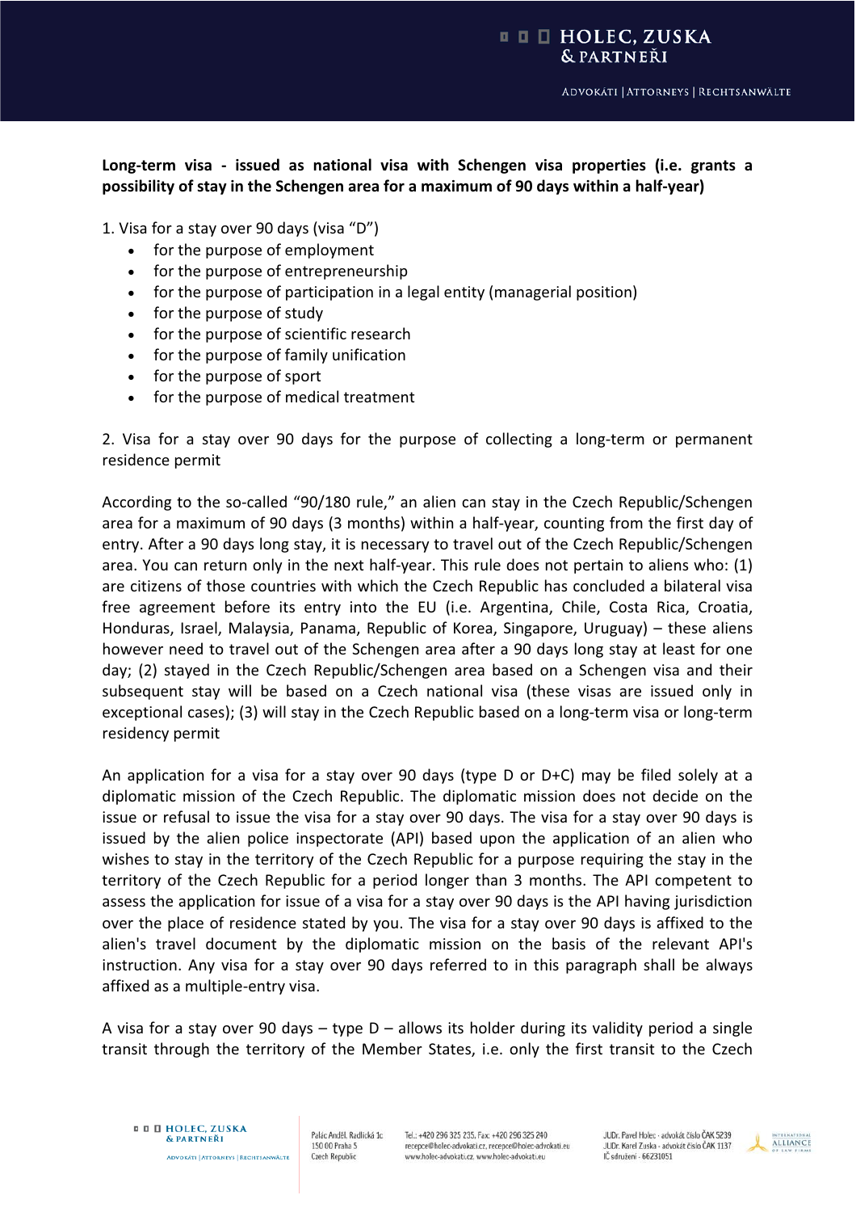#### **□ □ □ HOLEC, ZUSKA** & PARTNEŘI

## **LongͲterm visa Ͳ issued as national visa with Schengen visa properties (i.e. grants a possibility of stay in the Schengen area for a maximum of 90 days within a halfͲyear)**

1. Visa for a stay over 90 days (visa "D")

- for the purpose of employment
- for the purpose of entrepreneurship
- $\bullet$  for the purpose of participation in a legal entity (managerial position)
- for the purpose of study
- for the purpose of scientific research
- for the purpose of family unification
- $\bullet$  for the purpose of sport
- for the purpose of medical treatment

2. Visa for a stay over 90 days for the purpose of collecting a long-term or permanent residence permit

According to the so-called "90/180 rule," an alien can stay in the Czech Republic/Schengen area for a maximum of 90 days (3 months) within a half-year, counting from the first day of entry. After a 90 days long stay, it is necessary to travel out of the Czech Republic/Schengen area. You can return only in the next half-year. This rule does not pertain to aliens who: (1) are citizens of those countries with which the Czech Republic has concluded a bilateral visa free agreement before its entry into the EU (i.e. Argentina, Chile, Costa Rica, Croatia, Honduras, Israel, Malaysia, Panama, Republic of Korea, Singapore, Uruguay) – these aliens however need to travel out of the Schengen area after a 90 days long stay at least for one day; (2) stayed in the Czech Republic/Schengen area based on a Schengen visa and their subsequent stay will be based on a Czech national visa (these visas are issued only in exceptional cases); (3) will stay in the Czech Republic based on a long-term visa or long-term residency permit

An application for a visa for a stay over 90 days (type D or D+C) may be filed solely at a diplomatic mission of the Czech Republic. The diplomatic mission does not decide on the issue or refusal to issue the visa for a stay over 90 days. The visa for a stay over 90 days is issued by the alien police inspectorate (API) based upon the application of an alien who wishes to stay in the territory of the Czech Republic for a purpose requiring the stay in the territory of the Czech Republic for a period longer than 3 months. The API competent to assess the application for issue of a visa for a stay over 90 days is the API having jurisdiction over the place of residence stated by you. The visa for a stay over 90 days is affixed to the alien's travel document by the diplomatic mission on the basis of the relevant API's instruction. Any visa for a stay over 90 days referred to in this paragraph shall be always affixed as a multiple-entry visa.

A visa for a stay over 90 days  $-$  type  $D -$  allows its holder during its validity period a single transit through the territory of the Member States, i.e. only the first transit to the Czech

Palác Anděl, Radlická 1c 150 00 Praha 5 **Czech Republic** 

Tel.: +420 296 325 235, Fax: +420 296 325 240 recepce@holec-advokati.cz, recepce@holec-advokati.eu www.holec-advokati.cz, www.holec-advokati.eu